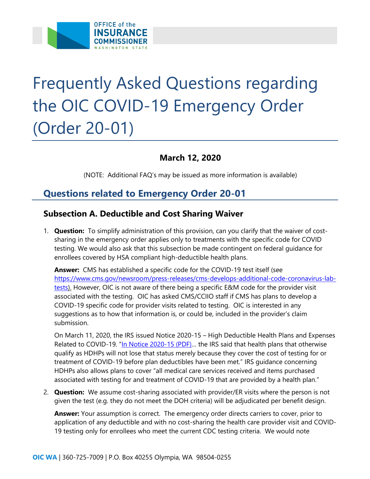

# Frequently Asked Questions regarding the OIC COVID-19 Emergency Order (Order 20-01)

# **March 12, 2020**

(NOTE: Additional FAQ's may be issued as more information is available)

# **Questions related to Emergency Order 20-01**

### **Subsection A. Deductible and Cost Sharing Waiver**

 1. **Question:** To simplify administration of this provision, can you clarify that the waiver of costsharing in the emergency order applies only to treatments with the specific code for COVID testing. We would also ask that this subsection be made contingent on federal guidance for enrollees covered by HSA compliant high-deductible health plans.

 **Answer:** CMS has established a specific code for the COVID-19 test itself (see <https://www.cms.gov/newsroom/press-releases/cms-develops-additional-code-coronavirus-lab>tests). However, OIC is not aware of there being a specific E&M code for the provider visit associated with the testing. OIC has asked CMS/CCIIO staff if CMS has plans to develop a COVID-19 specific code for provider visits related to testing. OIC is interested in any suggestions as to how that information is, or could be, included in the provider's claim submission.

 On March 11, 2020, the IRS issued Notice 2020-15 – High Deductible Health Plans and Expenses Related to COVID-19. "In Notice 2020-15 (PDF)... the IRS said that health plans that otherwise qualify as HDHPs will not lose that status merely because they cover the cost of testing for or treatment of COVID-19 before plan deductibles have been met." IRS guidance concerning HDHPs also allows plans to cover "all medical care services received and items purchased associated with testing for and treatment of COVID-19 that are provided by a health plan."

 2. **Question:** We assume cost-sharing associated with provider/ER visits where the person is not given the test (e.g. they do not meet the DOH criteria) will be adjudicated per benefit design.

**Answer:** Your assumption is correct. The emergency order directs carriers to cover, prior to application of any deductible and with no cost-sharing the health care provider visit and COVID-19 testing only for enrollees who meet the current CDC testing criteria. We would note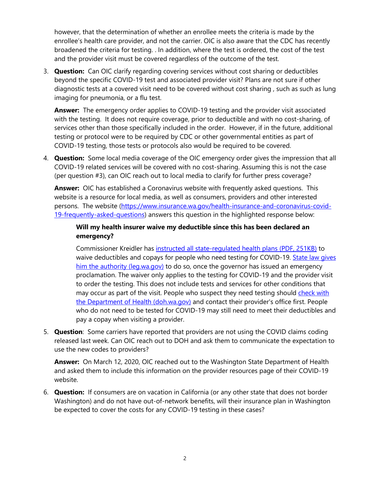however, that the determination of whether an enrollee meets the criteria is made by the enrollee's health care provider, and not the carrier. OIC is also aware that the CDC has recently broadened the criteria for testing. . In addition, where the test is ordered, the cost of the test and the provider visit must be covered regardless of the outcome of the test.

 3. **Question:** Can OIC clarify regarding covering services without cost sharing or deductibles beyond the specific COVID-19 test and associated provider visit? Plans are not sure if other diagnostic tests at a covered visit need to be covered without cost sharing , such as such as lung imaging for pneumonia, or a flu test.

 **Answer:** The emergency order applies to COVID-19 testing and the provider visit associated with the testing. It does not require coverage, prior to deductible and with no cost-sharing, of services other than those specifically included in the order. However, if in the future, additional testing or protocol were to be required by CDC or other governmental entities as part of COVID-19 testing, those tests or protocols also would be required to be covered.

 4. **Question:** Some local media coverage of the OIC emergency order gives the impression that all COVID-19 related services will be covered with no cost-sharing. Assuming this is not the case (per question #3), can OIC reach out to local media to clarify for further press coverage?

 **Answer:** OIC has established a Coronavirus website with frequently asked questions. This website is a resource for local media, as well as consumers, providers and other interested persons. The website [\(https://www.insurance.wa.gov/health-insurance-and-coronavirus-covid-](https://www.insurance.wa.gov/health-insurance-and-coronavirus-covid-19-frequently-asked-questions)[19-frequently-asked-questions\)](https://www.insurance.wa.gov/health-insurance-and-coronavirus-covid-19-frequently-asked-questions) answers this question in the highlighted response below:

#### **Will my health insurer waive my deductible since this has been declared an emergency?**

Commissioner Kreidler has [instructed all state-regulated health plans \(PDF, 251KB\)](https://www.insurance.wa.gov/media/8976) to waive deductibles and copays for people who need testing for COVID-19. [State law gives](https://app.leg.wa.gov/RCW/default.aspx?cite=48.02.060)  [him the authority \(leg.wa.gov\)](https://app.leg.wa.gov/RCW/default.aspx?cite=48.02.060) to do so, once the governor has issued an emergency proclamation. The waiver only applies to the testing for COVID-19 and the provider visit to order the testing. This does not include tests and services for other conditions that may occur as part of the visit. People who suspect they need testing should [check with](https://www.doh.wa.gov/Emergencies/NovelCoronavirusOutbreak2020/TestingforCOVID19)  [the Department of Health \(doh.wa.gov\)](https://www.doh.wa.gov/Emergencies/NovelCoronavirusOutbreak2020/TestingforCOVID19) and contact their provider's office first. People who do not need to be tested for COVID-19 may still need to meet their deductibles and pay a copay when visiting a provider.

5. **Question**: Some carriers have reported that providers are not using the COVID claims coding released last week. Can OIC reach out to DOH and ask them to communicate the expectation to use the new codes to providers?

 **Answer:** On March 12, 2020, OIC reached out to the Washington State Department of Health and asked them to include this information on the provider resources page of their COVID-19 website.

 6. **Question:** If consumers are on vacation in California (or any other state that does not border Washington) and do not have out-of-network benefits, will their insurance plan in Washington be expected to cover the costs for any COVID-19 testing in these cases?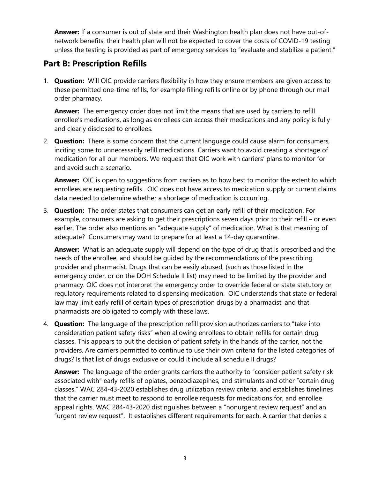**Answer:** If a consumer is out of state and their Washington health plan does not have out-ofnetwork benefits, their health plan will not be expected to cover the costs of COVID-19 testing unless the testing is provided as part of emergency services to "evaluate and stabilize a patient."

## **Part B: Prescription Refills**

 1. **Question:** Will OIC provide carriers flexibility in how they ensure members are given access to these permitted one-time refills, for example filling refills online or by phone through our mail order pharmacy.

 **Answer:** The emergency order does not limit the means that are used by carriers to refill enrollee's medications, as long as enrollees can access their medications and any policy is fully and clearly disclosed to enrollees.

 2. **Question:** There is some concern that the current language could cause alarm for consumers, inciting some to unnecessarily refill medications. Carriers want to avoid creating a shortage of medication for all our members. We request that OIC work with carriers' plans to monitor for and avoid such a scenario.

 **Answer:** OIC is open to suggestions from carriers as to how best to monitor the extent to which enrollees are requesting refills. OIC does not have access to medication supply or current claims data needed to determine whether a shortage of medication is occurring.

 3. **Question:** The order states that consumers can get an early refill of their medication. For example, consumers are asking to get their prescriptions seven days prior to their refill – or even earlier. The order also mentions an "adequate supply" of medication. What is that meaning of adequate? Consumers may want to prepare for at least a 14-day quarantine.

 **Answer:** What is an adequate supply will depend on the type of drug that is prescribed and the needs of the enrollee, and should be guided by the recommendations of the prescribing provider and pharmacist. Drugs that can be easily abused, (such as those listed in the emergency order, or on the DOH Schedule II list) may need to be limited by the provider and pharmacy. OIC does not interpret the emergency order to override federal or state statutory or regulatory requirements related to dispensing medication. OIC understands that state or federal law may limit early refill of certain types of prescription drugs by a pharmacist, and that pharmacists are obligated to comply with these laws.

 4. **Question:** The language of the prescription refill provision authorizes carriers to "take into consideration patient safety risks" when allowing enrollees to obtain refills for certain drug classes. This appears to put the decision of patient safety in the hands of the carrier, not the providers. Are carriers permitted to continue to use their own criteria for the listed categories of drugs? Is that list of drugs exclusive or could it include all schedule II drugs?

 **Answer:** The language of the order grants carriers the authority to "consider patient safety risk "urgent review request". It establishes different requirements for each. A carrier that denies a associated with" early refills of opiates, benzodiazepines, and stimulants and other "certain drug classes." WAC 284-43-2020 establishes drug utilization review criteria, and establishes timelines that the carrier must meet to respond to enrollee requests for medications for, and enrollee appeal rights. WAC 284-43-2020 distinguishes between a "nonurgent review request" and an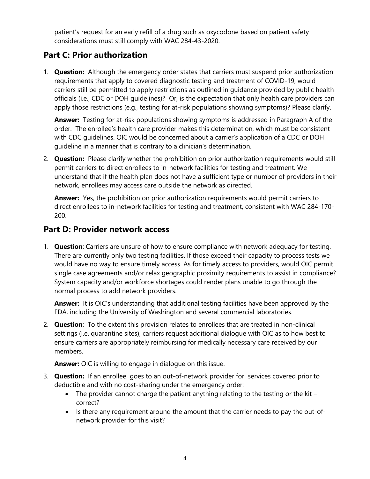patient's request for an early refill of a drug such as oxycodone based on patient safety considerations must still comply with WAC 284-43-2020.

# **Part C: Prior authorization**

 1. **Question:** Although the emergency order states that carriers must suspend prior authorization requirements that apply to covered diagnostic testing and treatment of COVID-19, would carriers still be permitted to apply restrictions as outlined in guidance provided by public health officials (i.e., CDC or DOH guidelines)? Or, is the expectation that only health care providers can apply those restrictions (e.g., testing for at-risk populations showing symptoms)? Please clarify.

 **Answer:** Testing for at-risk populations showing symptoms is addressed in Paragraph A of the with CDC guidelines. OIC would be concerned about a carrier's application of a CDC or DOH order. The enrollee's health care provider makes this determination, which must be consistent guideline in a manner that is contrary to a clinician's determination.

 2. **Question:** Please clarify whether the prohibition on prior authorization requirements would still permit carriers to direct enrollees to in-network facilities for testing and treatment. We understand that if the health plan does not have a sufficient type or number of providers in their network, enrollees may access care outside the network as directed.

 **Answer:** Yes, the prohibition on prior authorization requirements would permit carriers to direct enrollees to in-network facilities for testing and treatment, consistent with WAC 284-170- 200.

### **Part D: Provider network access**

1. **Question**: Carriers are unsure of how to ensure compliance with network adequacy for testing. There are currently only two testing facilities. If those exceed their capacity to process tests we would have no way to ensure timely access. As for timely access to providers, would OIC permit single case agreements and/or relax geographic proximity requirements to assist in compliance? System capacity and/or workforce shortages could render plans unable to go through the normal process to add network providers.

 **Answer:** It is OIC's understanding that additional testing facilities have been approved by the FDA, including the University of Washington and several commercial laboratories.

 2. **Question**: To the extent this provision relates to enrollees that are treated in non-clinical settings (i.e. quarantine sites), carriers request additional dialogue with OIC as to how best to ensure carriers are appropriately reimbursing for medically necessary care received by our members.

**Answer:** OIC is willing to engage in dialogue on this issue.

- 3. **Question:** If an enrollee goes to an out-of-network provider for services covered prior to deductible and with no cost-sharing under the emergency order:
	- The provider cannot charge the patient anything relating to the testing or the kit correct?
	- Is there any requirement around the amount that the carrier needs to pay the out-ofnetwork provider for this visit?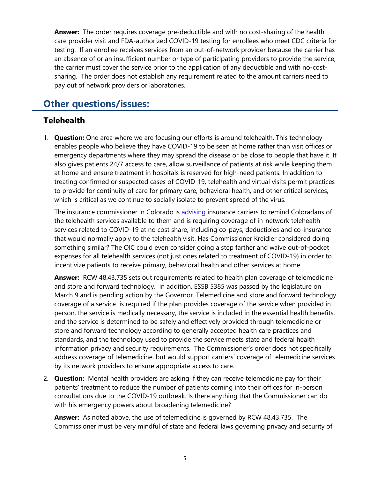**Answer:** The order requires coverage pre-deductible and with no cost-sharing of the health care provider visit and FDA-authorized COVID-19 testing for enrollees who meet CDC criteria for testing. If an enrollee receives services from an out-of-network provider because the carrier has an absence of or an insufficient number or type of participating providers to provide the service, the carrier must cover the service prior to the application of any deductible and with no-costsharing. The order does not establish any requirement related to the amount carriers need to pay out of network providers or laboratories.

# **Other questions/issues:**

### **Telehealth**

1. **Question:** One area where we are focusing our efforts is around telehealth. This technology enables people who believe they have COVID-19 to be seen at home rather than visit offices or emergency departments where they may spread the disease or be close to people that have it. It also gives patients 24/7 access to care, allow surveillance of patients at risk while keeping them at home and ensure treatment in hospitals is reserved for high-need patients. In addition to treating confirmed or suspected cases of COVID-19, telehealth and virtual visits permit practices to provide for continuity of care for primary care, behavioral health, and other critical services, which is critical as we continue to socially isolate to prevent spread of the virus.

The insurance commissioner in Colorado is [advising](https://www.thedenverchannel.com/news/national/coronavirus/colorado-directs-insurers-to-waive-cost-sharing-promote-telehealth-services-for-covid-19-testing) insurance carriers to remind Coloradans of something similar? The OIC could even consider going a step farther and waive out-of-pocket the telehealth services available to them and is requiring coverage of in-network telehealth services related to COVID-19 at no cost share, including co-pays, deductibles and co-insurance that would normally apply to the telehealth visit. Has Commissioner Kreidler considered doing expenses for all telehealth services (not just ones related to treatment of COVID-19) in order to incentivize patients to receive primary, behavioral health and other services at home.

 **Answer:** RCW 48.43.735 sets out requirements related to health plan coverage of telemedicine and store and forward technology. In addition, ESSB 5385 was passed by the legislature on March 9 and is pending action by the Governor. Telemedicine and store and forward technology coverage of a service is required if the plan provides coverage of the service when provided in person, the service is medically necessary, the service is included in the essential health benefits, and the service is determined to be safely and effectively provided through telemedicine or store and forward technology according to generally accepted health care practices and standards, and the technology used to provide the service meets state and federal health information privacy and security requirements. The Commissioner's order does not specifically address coverage of telemedicine, but would support carriers' coverage of telemedicine services by its network providers to ensure appropriate access to care.

 2. **Question:** Mental health providers are asking if they can receive telemedicine pay for their patients' treatment to reduce the number of patients coming into their offices for in-person consultations due to the COVID-19 outbreak. Is there anything that the Commissioner can do with his emergency powers about broadening telemedicine?

 **Answer:** As noted above, the use of telemedicine is governed by RCW 48.43.735. The Commissioner must be very mindful of state and federal laws governing privacy and security of